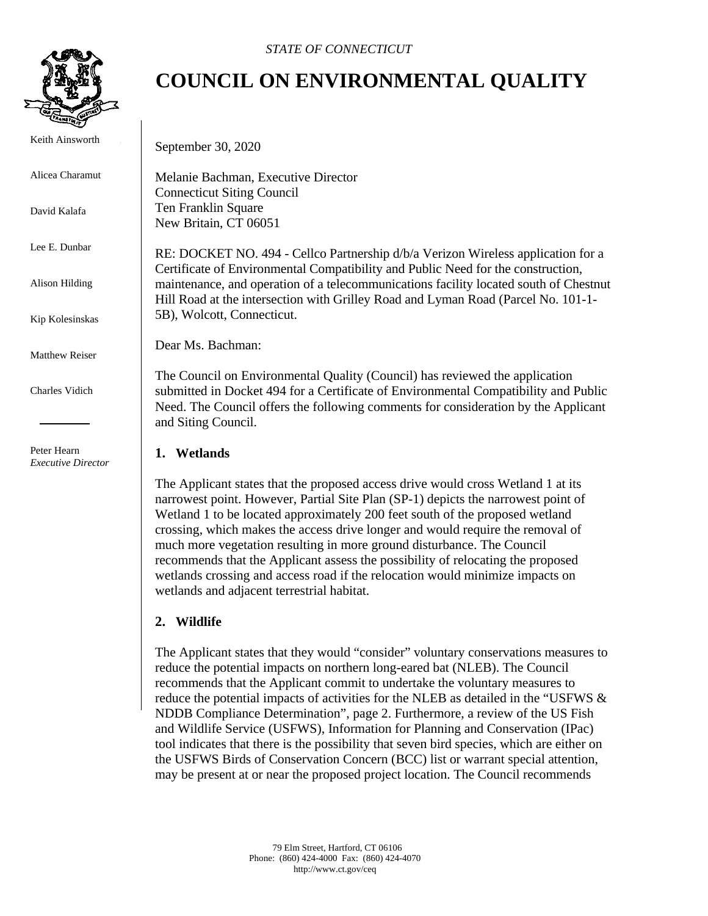

Keith Ainsworth

Alicea Charamut

David Kalafa

Lee E. Dunbar

Alison Hilding

Kip Kolesinskas

Matthew Reiser

Charles Vidich

 Peter Hearn *Executive Director*

# **COUNCIL ON ENVIRONMENTAL QUALITY**

September 30, 2020

Melanie Bachman, Executive Director Connecticut Siting Council Ten Franklin Square New Britain, CT 06051

RE: DOCKET NO. 494 - Cellco Partnership d/b/a Verizon Wireless application for a Certificate of Environmental Compatibility and Public Need for the construction, maintenance, and operation of a telecommunications facility located south of Chestnut Hill Road at the intersection with Grilley Road and Lyman Road (Parcel No. 101-1- 5B), Wolcott, Connecticut.

Dear Ms. Bachman:

The Council on Environmental Quality (Council) has reviewed the application submitted in Docket 494 for a Certificate of Environmental Compatibility and Public Need. The Council offers the following comments for consideration by the Applicant and Siting Council.

#### **1. Wetlands**

The Applicant states that the proposed access drive would cross Wetland 1 at its narrowest point. However, Partial Site Plan (SP-1) depicts the narrowest point of Wetland 1 to be located approximately 200 feet south of the proposed wetland crossing, which makes the access drive longer and would require the removal of much more vegetation resulting in more ground disturbance. The Council recommends that the Applicant assess the possibility of relocating the proposed wetlands crossing and access road if the relocation would minimize impacts on wetlands and adjacent terrestrial habitat.

### **2. Wildlife**

The Applicant states that they would "consider" voluntary conservations measures to reduce the potential impacts on northern long-eared bat (NLEB). The Council recommends that the Applicant commit to undertake the voluntary measures to reduce the potential impacts of activities for the NLEB as detailed in the "USFWS & NDDB Compliance Determination", page 2. Furthermore, a review of the US Fish and Wildlife Service (USFWS), Information for Planning and Conservation (IPac) tool indicates that there is the possibility that seven bird species, which are either on the USFWS Birds of Conservation Concern (BCC) list or warrant special attention, may be present at or near the proposed project location. The Council recommends